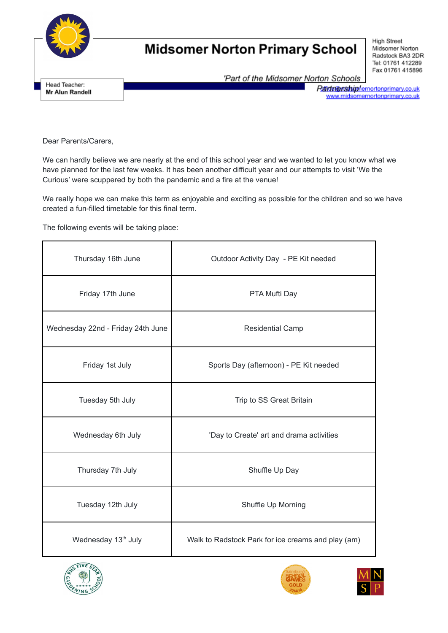

Head Teacher:

Mr Alun Randell

## **Midsomer Norton Primary School**

**High Street** Midsomer Norton Radstock BA3 2DR Tel: 01761 412289 Fax 01761 415896

'Part of the Midsomer Norton Schools

Rantenershiphernortonprimary.co.uk<br>www.midsomernortonprimary.co.uk

Dear Parents/Carers,

We can hardly believe we are nearly at the end of this school year and we wanted to let you know what we have planned for the last few weeks. It has been another difficult year and our attempts to visit 'We the Curious' were scuppered by both the pandemic and a fire at the venue!

We really hope we can make this term as enjoyable and exciting as possible for the children and so we have created a fun-filled timetable for this final term.

The following events will be taking place:

| Thursday 16th June                | Outdoor Activity Day - PE Kit needed               |
|-----------------------------------|----------------------------------------------------|
| Friday 17th June                  | PTA Mufti Day                                      |
| Wednesday 22nd - Friday 24th June | <b>Residential Camp</b>                            |
| Friday 1st July                   | Sports Day (afternoon) - PE Kit needed             |
| Tuesday 5th July                  | Trip to SS Great Britain                           |
| Wednesday 6th July                | 'Day to Create' art and drama activities           |
| Thursday 7th July                 | Shuffle Up Day                                     |
| Tuesday 12th July                 | Shuffle Up Morning                                 |
| Wednesday 13 <sup>th</sup> July   | Walk to Radstock Park for ice creams and play (am) |